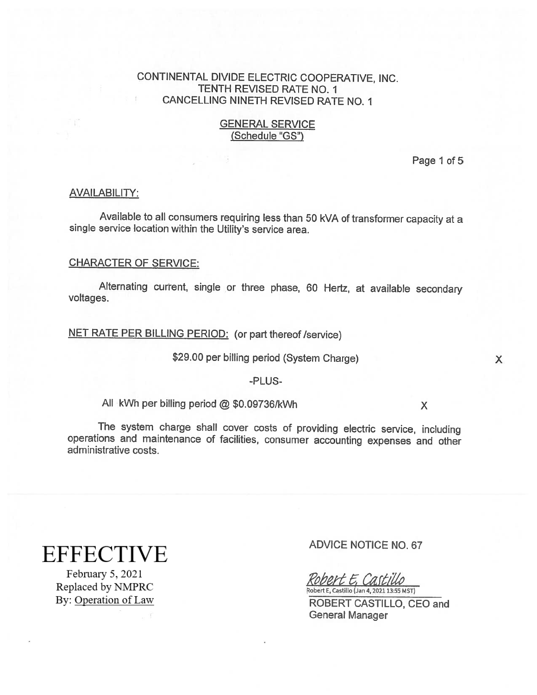## CONTINENTAL DIVIDE ELECTRIC COOPERATIVE, INC. TENTH REVISED RATE NO. I CANCELLING NINETH REVISED RATE NO. 1

## GENERAL SERVICE (Schedule "GS")

Page 1 of 5

#### AVAILABILITY:

Available to all consumers requiring less than 50 kVA of transformer capacity at a single service location within the Utility's service area.

## CHARACTER OF SERVICE:

Alternating current, single or three <sup>p</sup>hase, <sup>60</sup> Hertz, at available secondary voltages.

NET RATE PER BILLING PERIOD: (or part thereof/service)

\$29.00 per billing period (System Charge) X

#### -PLUS

All kWh per billing period @ \$0.09736/kWh  $\times$ 

The system charge shall cover costs of providing electric service, including operations and maintenance of facilities, consumer accounting expenses and other administrative costs.

# **EFFECTIVE**

February 5, 2021 Replaced by NMPRC By: Operation of Law

#### ADVICE NOTICE NO.67

obert E, Castillo Robert E, Castillo (Jan 4, 2021 13:55 MST)

ROBERT CASTILLO, CEO and General Manager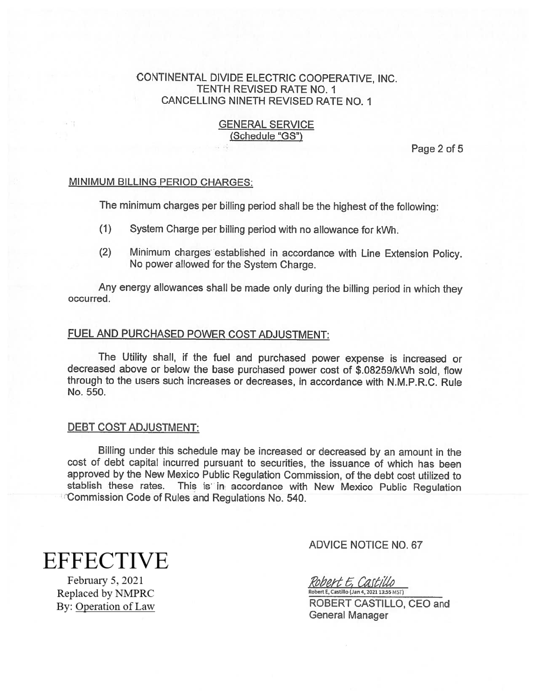## CONTINENTAL DIVIDE ELECTRIC COOPERATIVE, INC. TENTH REVISED RATE NO. I CANCELLING NINETH REVISED RATE NO. I

## GENERAL SERVICE (Schedule "GS")

Page 2 of 5

## MINIMUM BILLING PERIOD CHARGES:

The minimum charges per billing period shall be the highest of the following:

- (1) System Charge per billing period with no allowance for kWh.
- (2) Minimum charges established in accordance with Line Extension Policy. No power allowed for the System Charge.

Any energy allowances shall be made only during the billing period in which they occurred.

## FUEL AND PURCHASED POWER COST ADJUSTMENT:

The Utility shall, if the fuel and purchased power expense is increased or decreased above or below the base purchased power cost of \$.082591kWh sold, flow through to the users such increases or decreases, in accordance with N.M.P.R.C. Rule No. 550.

#### DEBT COST ADJUSTMENT:

Billing under this schedule may be increased or decreased by an amount in the cost of debt capital incurred pursuant to securities, the issuance of which has been approved by the New Mexico Public Regulation Commission, of the debt cost utilized to stablish these rates. This is in accordance with New Mexico Public Regulation Commission Code of Rules and Regulations No. 540.

# **EFFECTIVE**

February 5, 2021 Replaced by NMPRC By: Operation of Law

## ADVICE NOTICE NO.67

Robert E. Castillo

Robert E, Castillo (Jan 4, 2021 13:55 MST) ROBERT CASTILLO, CEO and General Manager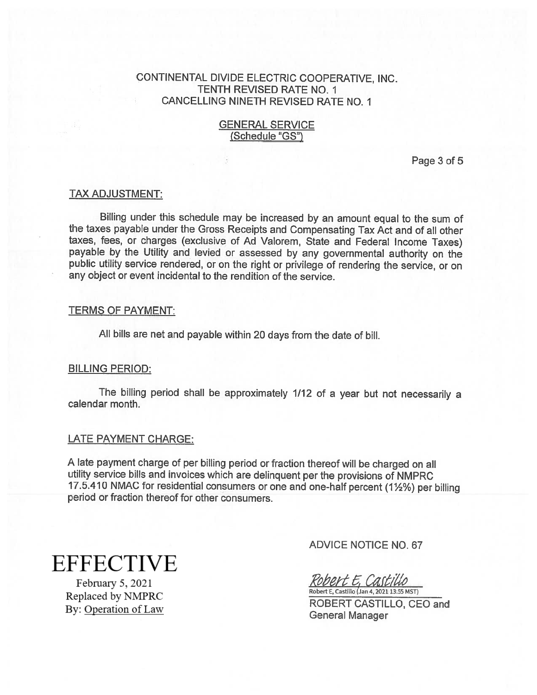## CONTINENTAL DIVIDE ELECTRIC COOPERATIVE, INC. TENTH REVISED RATE NO. I CANCELLING NINETH REVISED RATE NO. I

## GENERAL SERVICE (Schedule "GS")

Page 3 of 5

#### TAX ADJUSTMENT:

Billing under this schedule may be increased by an amount equa<sup>l</sup> to the sum of the taxes payable under the Gross Receipts and Compensating Tax Act and of all other taxes, fees, or charges (exclusive of Ad Valorem, State and Federal Income Taxes) payable by the Utility and levied or assessed by any governmental authority on the public utility service rendered, or on the right or privilege of rendering the service, or on any object or event incidental to the rendition of the service.

#### TERMS OF PAYMENT:

All bills are net and payable within <sup>20</sup> days from the date of bill.

#### BILLING PERIOD:

The billing period shall be approximately 1/12 of <sup>a</sup> year but not necessarily <sup>a</sup> calendar month.

#### LATE PAYMENT CHARGE:

<sup>A</sup> late payment charge of per billing period or fraction thereof will be charged on all utility service bills and invoices which are delinquent per the provisions of NMPRC 17.5.410 NMAC for residential consumers or one and one-half percent (1%%) per billing period or fraction thereof for other consumers.

**EFFECTIVE** 

February 5, 2021 Replaced by NMPRC By: Operation of Law ADVICE NOTICE NO. 67

Robert E, Castillo

Robert E, Castillo (Jan 4, 2021 13:55 MST) ROBERT CASTILLO, CEO and General Manager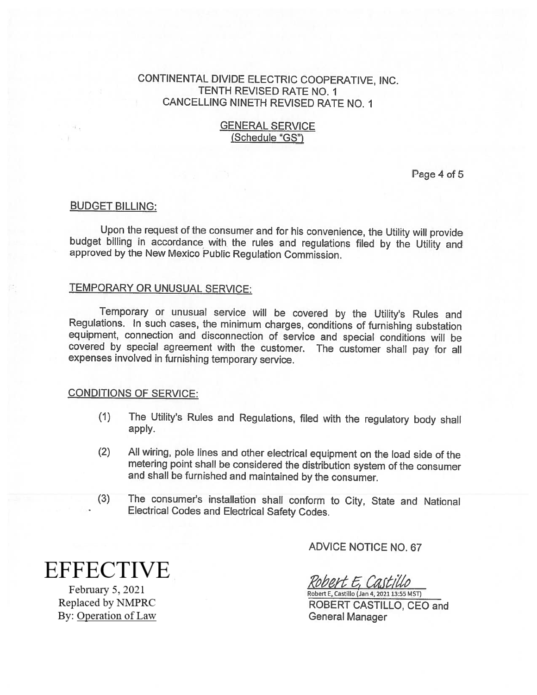## CONTINENTAL DIVIDE ELECTRIC COOPERATIVE, INC. TENTH REVISED RATE NO. I CANCELLING NINETH REVISED RATE NO. 1

## GENERAL SERVICE (Schedule "GS")

Page 4 of 5

#### BUDGET BILLING:

Upon the request of the consumer and for his convenience, the Utility will provide budget billing in accordance with the rules and regulations filed by the Utility and approved by the New Mexico Public Regulation Commission.

#### TEMPORARY OR UNUSUAL SERVICE:

Temporary or unusual service will be covered by the Utility's Rules and Regulations. In such cases, the minimum charges, conditions of furnishing substation covered by special agreement with the customer. The customer shall pay for all expenses involved in furnishing temporary service.

#### CONDITIONS OF SERVICE:

- (I) The Utility's Rules and Regulations, filed with the regulatory body shall apply.
- (2) All wiring, pole lines and other electrical equipment on the load side of the metering point shall be considered the distribution system of the consumer and shall be furnished and maintained by the consumer.
- (3) The consumer's installation shall conform to City, State and National Electrical Codes and Electrical Safety Codes.

ADVICE NOTICE NO.67

Robert E, Castillo

Robert E, Castillo (Jan 4, 2021 13:55 MST) ROBERT CASTILLO, CEO and General Manager

**EFFECTIVE** 

February 5, 2021 Replaced by NMPRC By: Operation of Law